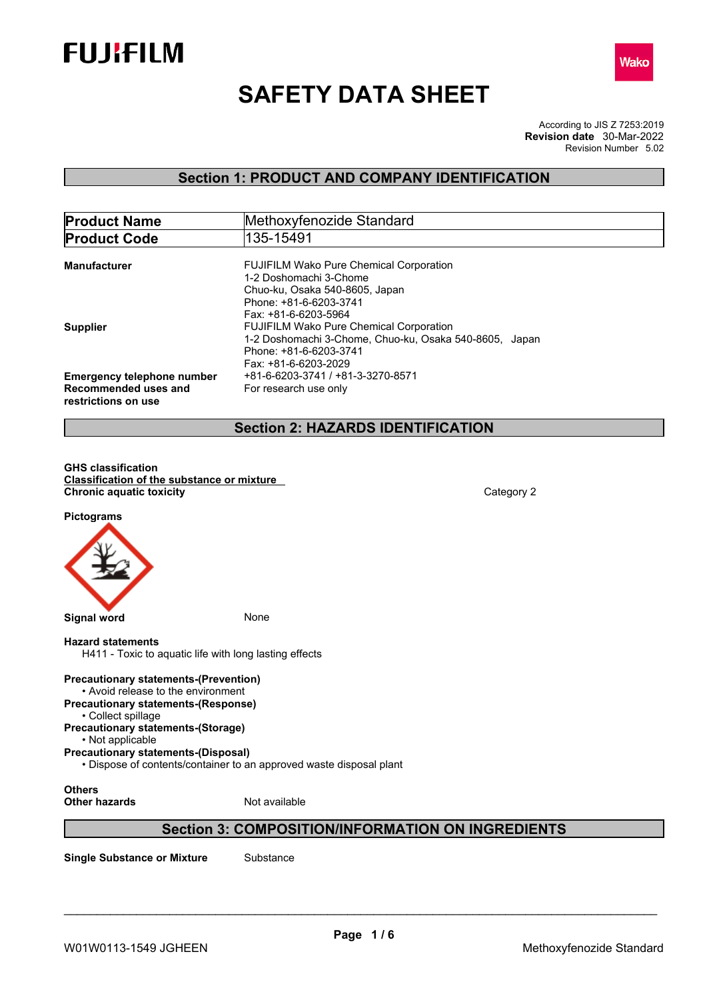



# **SAFETY DATA SHEET**

According to JIS Z 7253:2019 Revision Number 5.02 **Revision date** 30-Mar-2022

# **Section 1: PRODUCT AND COMPANY IDENTIFICATION**

| <b>Product Name</b>                                                              | Methoxyfenozide Standard                                                                                                                                     |
|----------------------------------------------------------------------------------|--------------------------------------------------------------------------------------------------------------------------------------------------------------|
| <b>Product Code</b>                                                              | 135-15491                                                                                                                                                    |
| <b>Manufacturer</b>                                                              | <b>FUJIFILM Wako Pure Chemical Corporation</b><br>1-2 Doshomachi 3-Chome<br>Chuo-ku, Osaka 540-8605, Japan<br>Phone: +81-6-6203-3741<br>Fax: +81-6-6203-5964 |
| <b>Supplier</b>                                                                  | <b>FUJIFILM Wako Pure Chemical Corporation</b><br>1-2 Doshomachi 3-Chome, Chuo-ku, Osaka 540-8605, Japan<br>Phone: +81-6-6203-3741<br>Fax: +81-6-6203-2029   |
| <b>Emergency telephone number</b><br>Recommended uses and<br>restrictions on use | +81-6-6203-3741 / +81-3-3270-8571<br>For research use only                                                                                                   |

# **Section 2: HAZARDS IDENTIFICATION**

**GHS classification Classification of the substance or mixture Chronic aquatic toxicity** Category 2

**Pictograms**



### **Hazard statements**

H411 - Toxic to aquatic life with long lasting effects

**Precautionary statements-(Prevention)** • Avoid release to the environment **Precautionary statements-(Response)** • Collect spillage **Precautionary statements-(Storage)** • Not applicable **Precautionary statements-(Disposal)** • Dispose of contents/container to an approved waste disposal plant

**Others Other hazards** Not available

# **Section 3: COMPOSITION/INFORMATION ON INGREDIENTS**

**Single Substance or Mixture** Substance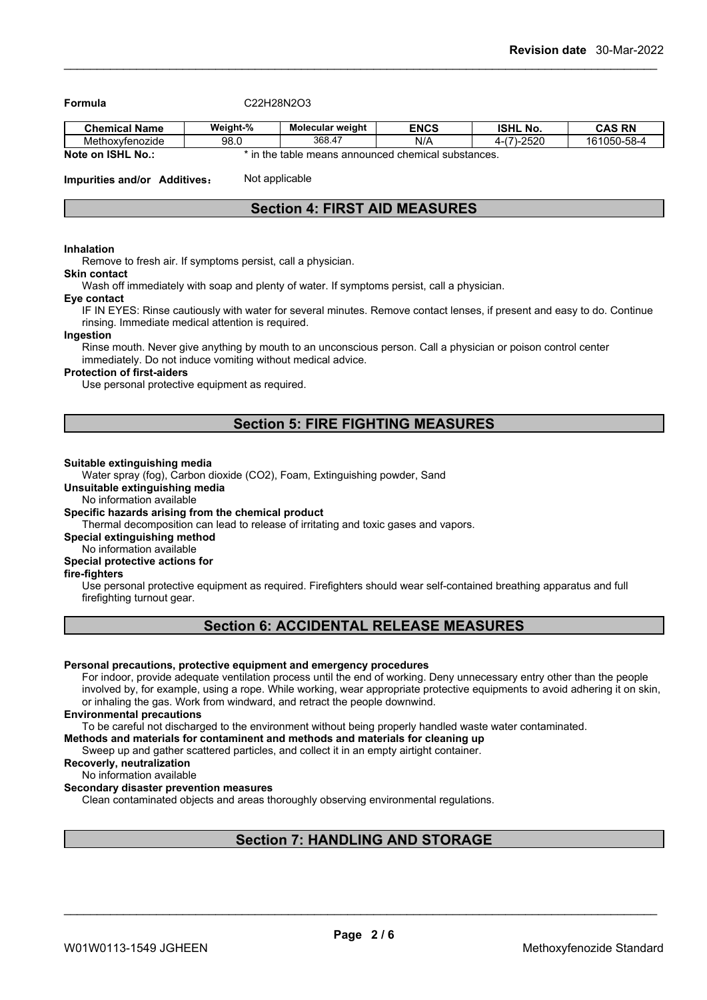**Formula** C22H28N2O3

| <b>Chemical Name</b> | Weight-%     | <b>Molecular weight</b> | <b>ENCS</b>                                | <b>ISHL No.</b>                 | <b>CAS RN</b> |
|----------------------|--------------|-------------------------|--------------------------------------------|---------------------------------|---------------|
| Methoxytenozide      | 98.0         | 368.47                  | N/A                                        | $-2520$<br>$\rightarrow$<br>4-1 | 161050-58-4   |
| Note on ISHL No.:    | n the<br>i m |                         | table means announced chemical substances. |                                 |               |

**Impurities and/or Additives:** Not applicable

# **Section 4: FIRST AID MEASURES**

#### **Inhalation**

Remove to fresh air. If symptoms persist, call a physician.

#### **Skin contact**

Wash off immediately with soap and plenty of water. If symptoms persist, call a physician.

#### **Eye contact**

IF IN EYES: Rinse cautiously with water for several minutes. Remove contact lenses, if present and easy to do. Continue rinsing. Immediate medical attention is required.

#### **Ingestion**

Rinse mouth. Never give anything by mouth to an unconscious person. Call a physician or poison control center immediately. Do not induce vomiting without medical advice.

# **Protection of first-aiders**

Use personal protective equipment as required.

# **Section 5: FIRE FIGHTING MEASURES**

#### **Suitable extinguishing media**

Water spray (fog), Carbon dioxide (CO2), Foam, Extinguishing powder, Sand

# **Unsuitable extinguishing media**

No information available

### **Specific hazards arising from the chemical product**

Thermal decomposition can lead to release of irritating and toxic gases and vapors.

**Special extinguishing method**

#### No information available **Special protective actions for**

**fire-fighters**

Use personal protective equipment as required.Firefighters should wear self-contained breathing apparatus and full firefighting turnout gear.

# **Section 6: ACCIDENTAL RELEASE MEASURES**

#### **Personal precautions, protective equipment and emergency procedures**

For indoor, provide adequate ventilation process until the end of working. Deny unnecessary entry other than the people involved by, for example, using a rope. While working, wear appropriate protective equipments to avoid adhering it on skin, or inhaling the gas. Work from windward, and retract the people downwind.

### **Environmental precautions**

To be careful not discharged to the environment without being properly handled waste water contaminated.

**Methods and materials for contaminent and methods and materials for cleaning up**

Sweep up and gather scattered particles, and collect it in an empty airtight container.

**Recoverly, neutralization**

#### No information available **Secondary disaster prevention measures**

Clean contaminated objects and areas thoroughly observing environmental regulations.

# **Section 7: HANDLING AND STORAGE**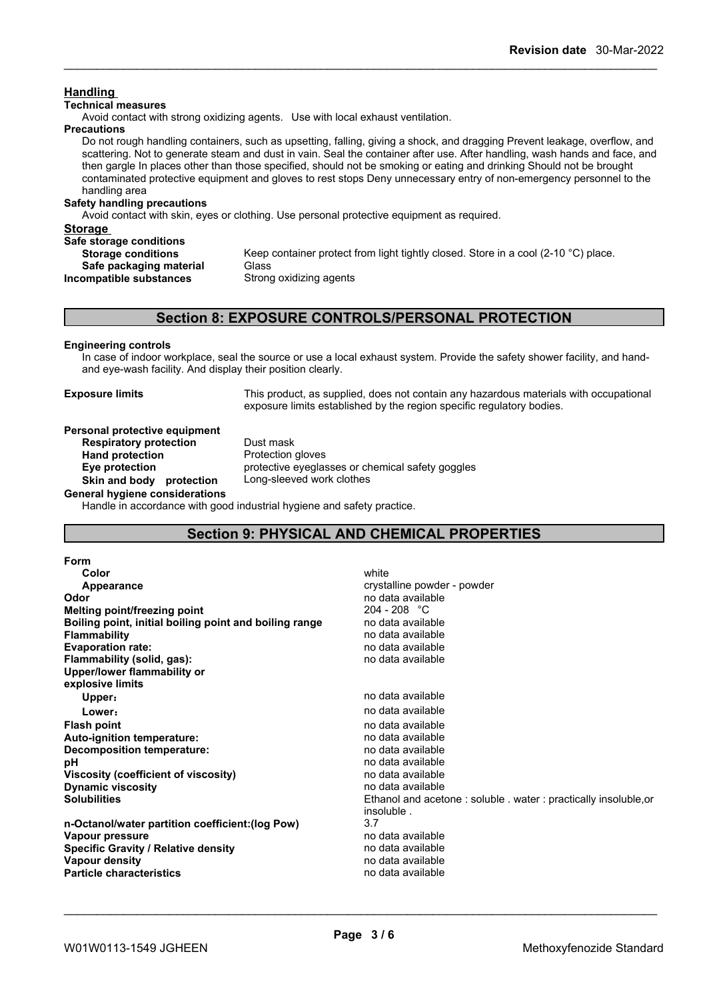# **Handling**

# **Technical measures**

Avoid contact with strong oxidizing agents. Use with local exhaust ventilation.

**Precautions**

Do not rough handling containers, such as upsetting, falling, giving a shock, and dragging Prevent leakage, overflow, and scattering. Not to generate steam and dust in vain. Seal the container after use. After handling, wash hands and face, and then gargle In places other than those specified, should not be smoking or eating and drinking Should not be brought contaminated protective equipment and gloves to rest stops Deny unnecessary entry of non-emergency personnel to the handling area

#### **Safety handling precautions**

Avoid contact with skin, eyes or clothing. Use personal protective equipment as required.

| <b>Storage</b>            |                                                                                    |
|---------------------------|------------------------------------------------------------------------------------|
| Safe storage conditions   |                                                                                    |
|                           |                                                                                    |
| <b>Storage conditions</b> | Keep container protect from light tightly closed. Store in a cool (2-10 °C) place. |
| Safe packaging material   | <b>Glass</b>                                                                       |
| Incompatible substances   | Strong oxidizing agents                                                            |

# **Section 8: EXPOSURE CONTROLS/PERSONAL PROTECTION**

#### **Engineering controls**

In case of indoor workplace, seal the source or use a local exhaust system. Provide the safety shower facility, and handand eye-wash facility. And display their position clearly.

**Exposure limits** This product, as supplied, does not contain any hazardous materials with occupational exposure limits established by the region specific regulatory bodies.

#### **Personal protective equipment**

**Respiratory protection** Dust mask Hand **protection Protection gloves Eye protection** protective eyeglasses or chemical safety goggles **Skin and body protection** Long-sleeved work clothes

**General hygiene considerations**

Handle in accordance with good industrial hygiene and safety practice.

# **Section 9: PHYSICAL AND CHEMICAL PROPERTIES**

| <b>Form</b>                                            |                                                                 |
|--------------------------------------------------------|-----------------------------------------------------------------|
| Color                                                  | white                                                           |
| Appearance                                             | crystalline powder - powder                                     |
| Odor                                                   | no data available                                               |
| Melting point/freezing point                           | $204 - 208$ °C                                                  |
| Boiling point, initial boiling point and boiling range | no data available                                               |
| <b>Flammability</b>                                    | no data available                                               |
| <b>Evaporation rate:</b>                               | no data available                                               |
| Flammability (solid, gas):                             | no data available                                               |
| Upper/lower flammability or                            |                                                                 |
| explosive limits                                       |                                                                 |
| Upper:                                                 | no data available                                               |
| Lower:                                                 | no data available                                               |
| <b>Flash point</b>                                     | no data available                                               |
| Auto-ignition temperature:                             | no data available                                               |
| Decomposition temperature:                             | no data available                                               |
| рH                                                     | no data available                                               |
| Viscosity (coefficient of viscosity)                   | no data available                                               |
| <b>Dynamic viscosity</b>                               | no data available                                               |
| <b>Solubilities</b>                                    | Ethanol and acetone: soluble . water: practically insoluble, or |
|                                                        | insoluble.                                                      |
| n-Octanol/water partition coefficient: (log Pow)       | 3.7                                                             |
| Vapour pressure                                        | no data available                                               |
| Specific Gravity / Relative density                    | no data available                                               |
| <b>Vapour density</b>                                  | no data available                                               |
| <b>Particle characteristics</b>                        | no data available                                               |
|                                                        |                                                                 |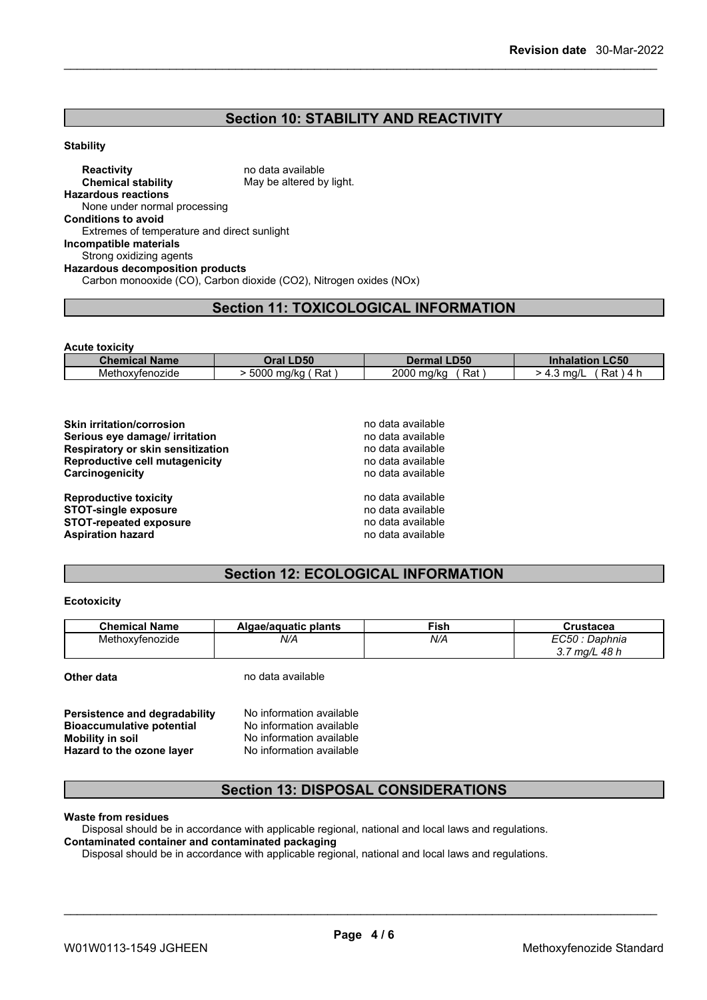# **Section 10: STABILITY AND REACTIVITY**

#### **Stability**

**Reactivity** no data available **Chemical stability** May be altered by light. **Hazardous reactions** None under normal processing **Conditions to avoid** Extremes of temperature and direct sunlight **Incompatible materials** Strong oxidizing agents **Hazardous decomposition products** Carbon monooxide (CO), Carbon dioxide (CO2), Nitrogen oxides (NOx)

# **Section 11: TOXICOLOGICAL INFORMATION**

| <b>Acute toxicity</b> |                   |                    |                                  |
|-----------------------|-------------------|--------------------|----------------------------------|
| <b>Chemical Name</b>  | Oral LD50         | <b>Dermal LD50</b> | <b>LC50</b><br><b>Inhalation</b> |
| Methoxyfenozide       | Rat<br>5000 mg/kg | 2000 mg/kg<br>Rat  | Rat<br>4 F<br>- 4.3 mg/l         |

| <b>Skin irritation/corrosion</b>  | no data available |
|-----------------------------------|-------------------|
| Serious eye damage/ irritation    | no data available |
| Respiratory or skin sensitization | no data available |
| Reproductive cell mutagenicity    | no data available |
| Carcinogenicity                   | no data available |
| <b>Reproductive toxicity</b>      | no data available |
| <b>STOT-single exposure</b>       | no data available |
| <b>STOT-repeated exposure</b>     | no data available |
| <b>Aspiration hazard</b>          | no data available |

# **Section 12: ECOLOGICAL INFORMATION**

#### **Ecotoxicity**

| <b>Chemical Name</b> | plants<br>Algae/aguatic | $-$<br>™ish | Crustacea                              |
|----------------------|-------------------------|-------------|----------------------------------------|
| Methoxyfenozide      | N/A                     | N/A         | Daphnia<br>48 K<br>ma/L<br>ווסד<br>◡.≀ |

**Other data** no data available

| Persistence and degradability    | No information available |  |
|----------------------------------|--------------------------|--|
| <b>Bioaccumulative potential</b> | No information available |  |
| Mobility in soil                 | No information available |  |
| Hazard to the ozone layer        | No information available |  |

# **Section 13: DISPOSAL CONSIDERATIONS**

# **Waste from residues**

Disposal should be in accordance with applicable regional, national and local laws and regulations. **Contaminated container and contaminated packaging**

Disposal should be in accordance with applicable regional, national and local laws and regulations.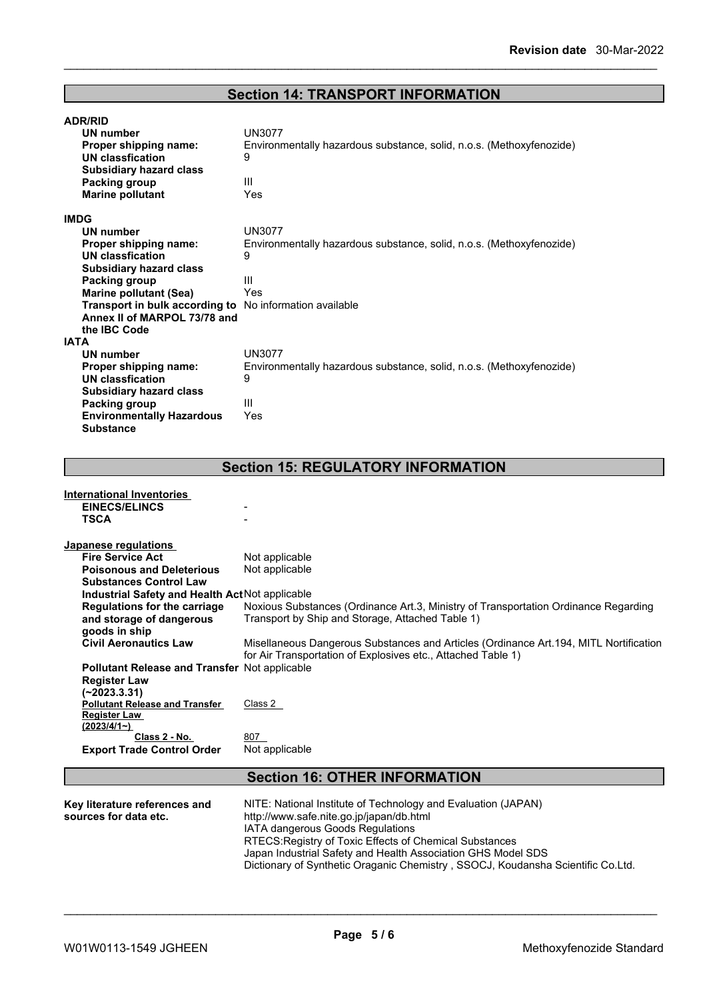# **Section 14: TRANSPORT INFORMATION**

| <b>ADR/RID</b>                                                 |                                                                      |
|----------------------------------------------------------------|----------------------------------------------------------------------|
| <b>UN number</b>                                               | <b>UN3077</b>                                                        |
| Proper shipping name:                                          | Environmentally hazardous substance, solid, n.o.s. (Methoxyfenozide) |
| UN classfication                                               | 9                                                                    |
| <b>Subsidiary hazard class</b>                                 |                                                                      |
| Packing group                                                  | Ш                                                                    |
| <b>Marine pollutant</b>                                        | Yes                                                                  |
| <b>IMDG</b>                                                    |                                                                      |
| UN number                                                      | <b>UN3077</b>                                                        |
| Proper shipping name:                                          | Environmentally hazardous substance, solid, n.o.s. (Methoxyfenozide) |
| UN classfication                                               | 9                                                                    |
| <b>Subsidiary hazard class</b>                                 |                                                                      |
| Packing group                                                  | Ш                                                                    |
| <b>Marine pollutant (Sea)</b>                                  | Yes                                                                  |
| <b>Transport in bulk according to</b> No information available |                                                                      |
| Annex II of MARPOL 73/78 and                                   |                                                                      |
| the <b>IBC</b> Code                                            |                                                                      |
| <b>IATA</b>                                                    |                                                                      |
| UN number                                                      | <b>UN3077</b>                                                        |
| Proper shipping name:                                          | Environmentally hazardous substance, solid, n.o.s. (Methoxyfenozide) |
| <b>UN classfication</b>                                        | 9                                                                    |
| <b>Subsidiary hazard class</b>                                 |                                                                      |
| Packing group                                                  | Ш                                                                    |
| <b>Environmentally Hazardous</b>                               | Yes                                                                  |
| <b>Substance</b>                                               |                                                                      |

# **Section 15: REGULATORY INFORMATION**

| International Inventories                       |                                                                                                                                                        |
|-------------------------------------------------|--------------------------------------------------------------------------------------------------------------------------------------------------------|
| <b>EINECS/ELINCS</b>                            |                                                                                                                                                        |
| <b>TSCA</b>                                     |                                                                                                                                                        |
| Japanese regulations                            |                                                                                                                                                        |
| <b>Fire Service Act</b>                         | Not applicable                                                                                                                                         |
| <b>Poisonous and Deleterious</b>                | Not applicable                                                                                                                                         |
| <b>Substances Control Law</b>                   |                                                                                                                                                        |
| Industrial Safety and Health Act Not applicable |                                                                                                                                                        |
| Regulations for the carriage                    | Noxious Substances (Ordinance Art.3, Ministry of Transportation Ordinance Regarding                                                                    |
| and storage of dangerous                        | Transport by Ship and Storage, Attached Table 1)                                                                                                       |
| goods in ship                                   |                                                                                                                                                        |
| <b>Civil Aeronautics Law</b>                    | Misellaneous Dangerous Substances and Articles (Ordinance Art. 194, MITL Nortification<br>for Air Transportation of Explosives etc., Attached Table 1) |
| Pollutant Release and Transfer Not applicable   |                                                                                                                                                        |
| <b>Register Law</b>                             |                                                                                                                                                        |
| (~2023.3.31)                                    |                                                                                                                                                        |
| <b>Pollutant Release and Transfer</b>           | Class 2                                                                                                                                                |
| <b>Register Law</b>                             |                                                                                                                                                        |
| (2023/4/1)                                      |                                                                                                                                                        |
| Class 2 - No.                                   | 807                                                                                                                                                    |
| <b>Export Trade Control Order</b>               | Not applicable                                                                                                                                         |
|                                                 | <b>Section 16: OTHER INFORMATION</b>                                                                                                                   |
| Koy literature references and                   | NUTE: Notional Institute of Technology and Evaluation (IADANI)                                                                                         |

| Key literature references and | NITE: National Institute of Technology and Evaluation (JAPAN)                   |
|-------------------------------|---------------------------------------------------------------------------------|
| sources for data etc.         | http://www.safe.nite.go.jp/japan/db.html                                        |
|                               | IATA dangerous Goods Regulations                                                |
|                               | RTECS: Registry of Toxic Effects of Chemical Substances                         |
|                               | Japan Industrial Safety and Health Association GHS Model SDS                    |
|                               | Dictionary of Synthetic Oraganic Chemistry, SSOCJ, Koudansha Scientific Co.Ltd. |